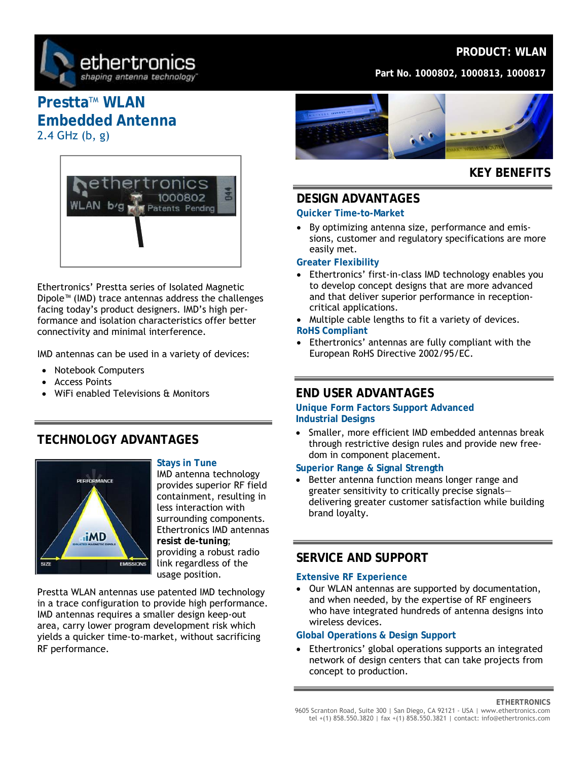

### **PRODUCT: WLAN**

**Part No. 1000802, 1000813, 1000817** 

# **Prestta™ WLAN Embedded Antenna**  2.4 GHz (b, g)



Ethertronics' Prestta series of Isolated Magnetic Dipole™ (IMD) trace antennas address the challenges facing today's product designers. IMD's high performance and isolation characteristics offer better connectivity and minimal interference.

IMD antennas can be used in a variety of devices:

- Notebook Computers
- Access Points
- WiFi enabled Televisions & Monitors

### **TECHNOLOGY ADVANTAGES**



### **Stays in Tune**

IMD antenna technology provides superior RF field containment, resulting in less interaction with surrounding components. Ethertronics IMD antennas **resist de-tuning**; providing a robust radio link regardless of the usage position.

Prestta WLAN antennas use patented IMD technology in a trace configuration to provide high performance. IMD antennas requires a smaller design keep-out area, carry lower program development risk which yields a quicker time-to-market, without sacrificing RF performance.



## **KEY BENEFITS**

### **DESIGN ADVANTAGES**

#### **Quicker Time-to-Market**

• By optimizing antenna size, performance and emissions, customer and regulatory specifications are more easily met.

#### **Greater Flexibility**

- Ethertronics' first-in-class IMD technology enables you to develop concept designs that are more advanced and that deliver superior performance in receptioncritical applications.
- Multiple cable lengths to fit a variety of devices. **RoHS Compliant**
- Ethertronics' antennas are fully compliant with the European RoHS Directive 2002/95/EC.

### **END USER ADVANTAGES**

**Unique Form Factors Support Advanced Industrial Designs** 

• Smaller, more efficient IMD embedded antennas break through restrictive design rules and provide new freedom in component placement.

### **Superior Range & Signal Strength**

Better antenna function means longer range and greater sensitivity to critically precise signals delivering greater customer satisfaction while building brand loyalty.

### **SERVICE AND SUPPORT**

### **Extensive RF Experience**

• Our WLAN antennas are supported by documentation, and when needed, by the expertise of RF engineers who have integrated hundreds of antenna designs into wireless devices.

### **Global Operations & Design Support**

Ethertronics' global operations supports an integrated network of design centers that can take projects from concept to production.

**ETHERTRONICS**  9605 Scranton Road, Suite 300 | San Diego, CA 92121 - USA | www.ethertronics.com tel +(1) 858.550.3820 | fax +(1) 858.550.3821 | contact: info@ethertronics.com